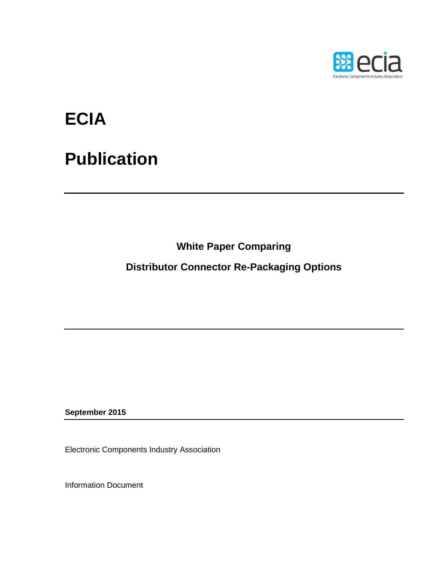

## **ECIA**

## **Publication**

**White Paper Comparing**

**Distributor Connector Re-Packaging Options**

**September 2015**

Electronic Components Industry Association

Information Document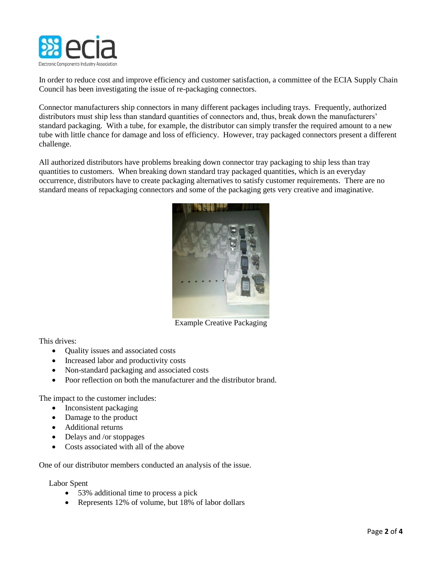

In order to reduce cost and improve efficiency and customer satisfaction, a committee of the ECIA Supply Chain Council has been investigating the issue of re-packaging connectors.

Connector manufacturers ship connectors in many different packages including trays. Frequently, authorized distributors must ship less than standard quantities of connectors and, thus, break down the manufacturers' standard packaging. With a tube, for example, the distributor can simply transfer the required amount to a new tube with little chance for damage and loss of efficiency. However, tray packaged connectors present a different challenge.

All authorized distributors have problems breaking down connector tray packaging to ship less than tray quantities to customers. When breaking down standard tray packaged quantities, which is an everyday occurrence, distributors have to create packaging alternatives to satisfy customer requirements. There are no standard means of repackaging connectors and some of the packaging gets very creative and imaginative.



Example Creative Packaging

This drives:

- Ouality issues and associated costs
- Increased labor and productivity costs
- Non-standard packaging and associated costs
- Poor reflection on both the manufacturer and the distributor brand.

The impact to the customer includes:

- Inconsistent packaging
- Damage to the product
- Additional returns
- Delays and /or stoppages
- Costs associated with all of the above

One of our distributor members conducted an analysis of the issue.

Labor Spent

- 53% additional time to process a pick
- Represents 12% of volume, but 18% of labor dollars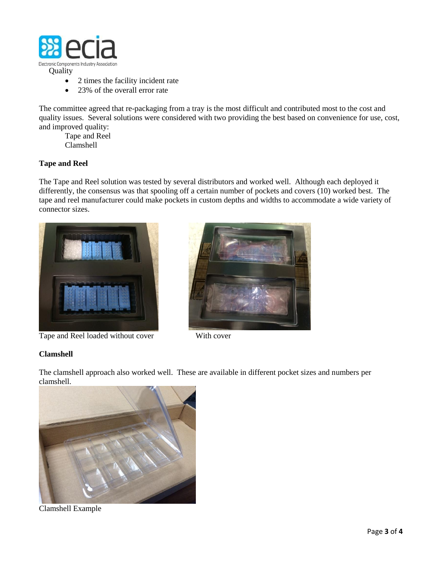

- 2 times the facility incident rate
- 23% of the overall error rate

The committee agreed that re-packaging from a tray is the most difficult and contributed most to the cost and quality issues. Several solutions were considered with two providing the best based on convenience for use, cost, and improved quality:

Tape and Reel Clamshell

## **Tape and Reel**

The Tape and Reel solution was tested by several distributors and worked well. Although each deployed it differently, the consensus was that spooling off a certain number of pockets and covers (10) worked best. The tape and reel manufacturer could make pockets in custom depths and widths to accommodate a wide variety of connector sizes.



Tape and Reel loaded without cover With cover



## **Clamshell**

The clamshell approach also worked well. These are available in different pocket sizes and numbers per clamshell.



Clamshell Example